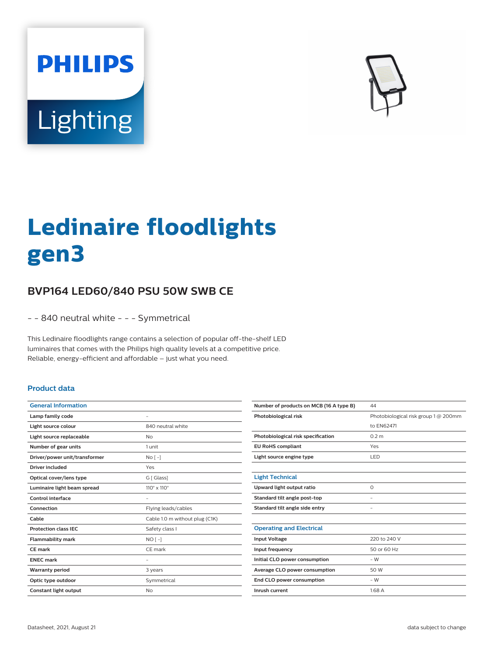# **PHILIPS Lighting**



# **Ledinaire floodlights gen3**

## **BVP164 LED60/840 PSU 50W SWB CE**

- - 840 neutral white - - - Symmetrical

This Ledinaire floodlights range contains a selection of popular off-the-shelf LED luminaires that comes with the Philips high quality levels at a competitive price. Reliable, energy-efficient and affordable – just what you need.

#### **Product data**

| <b>General Information</b>    |                                |
|-------------------------------|--------------------------------|
| Lamp family code              |                                |
| Light source colour           | 840 neutral white              |
| Light source replaceable      | <b>No</b>                      |
| Number of gear units          | 1 unit                         |
| Driver/power unit/transformer | $No[-]$                        |
| Driver included               | Yes                            |
| Optical cover/lens type       | G [ Glass]                     |
| Luminaire light beam spread   | $110^\circ \times 110^\circ$   |
| Control interface             |                                |
| Connection                    | Flying leads/cables            |
| Cable                         | Cable 1.0 m without plug (C1K) |
| <b>Protection class IEC</b>   | Safety class I                 |
| <b>Flammability mark</b>      | $NO$ [-]                       |
| CE mark                       | CE mark                        |
| <b>ENEC mark</b>              | $\overline{\phantom{0}}$       |
| <b>Warranty period</b>        | 3 years                        |
| Optic type outdoor            | Symmetrical                    |
| Constant light output         | <b>No</b>                      |
|                               |                                |

| Number of products on MCB (16 A type B) | 44                                   |
|-----------------------------------------|--------------------------------------|
| Photobiological risk                    | Photobiological risk group 1 @ 200mm |
|                                         | to EN62471                           |
| Photobiological risk specification      | 0.2 <sub>m</sub>                     |
| <b>EU RoHS compliant</b>                | Yes                                  |
| Light source engine type                | LED                                  |
|                                         |                                      |
| <b>Light Technical</b>                  |                                      |
| Upward light output ratio               | O                                    |
| Standard tilt angle post-top            |                                      |
| Standard tilt angle side entry          |                                      |
|                                         |                                      |
| <b>Operating and Electrical</b>         |                                      |
| <b>Input Voltage</b>                    | 220 to 240 V                         |
| Input frequency                         | 50 or 60 Hz                          |
| Initial CLO power consumption           | $-W$                                 |
| Average CLO power consumption           | 50 W                                 |
| End CLO power consumption               | - W                                  |
| Inrush current                          | 1.68 A                               |
|                                         |                                      |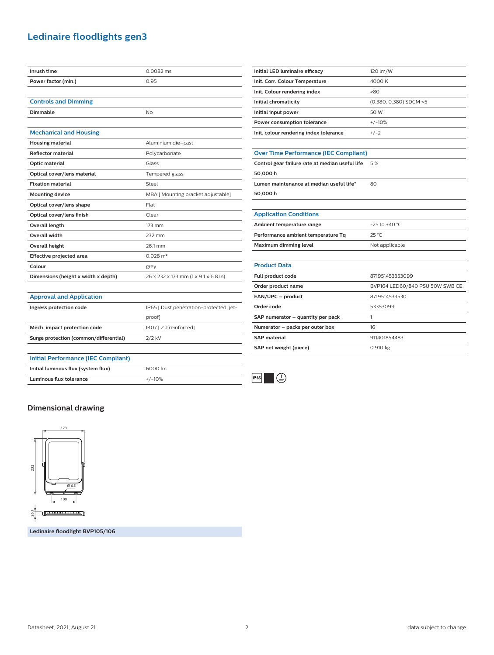### **Ledinaire floodlights gen3**

| Inrush time                                | 0.0082 ms                               |
|--------------------------------------------|-----------------------------------------|
| Power factor (min.)                        | 0.95                                    |
|                                            |                                         |
| <b>Controls and Dimming</b>                |                                         |
| <b>Dimmable</b>                            | No                                      |
|                                            |                                         |
| <b>Mechanical and Housing</b>              |                                         |
| <b>Housing material</b>                    | Aluminium die-cast                      |
| <b>Reflector material</b>                  | Polycarbonate                           |
| Optic material                             | Glass                                   |
| Optical cover/lens material                | Tempered glass                          |
| <b>Fixation material</b>                   | Steel                                   |
| <b>Mounting device</b>                     | MBA [ Mounting bracket adjustable]      |
| Optical cover/lens shape                   | Flat                                    |
| Optical cover/lens finish                  | Clear                                   |
| <b>Overall length</b>                      | 173 mm                                  |
| <b>Overall width</b>                       | 232 mm                                  |
| <b>Overall height</b>                      | 26.1 mm                                 |
| <b>Effective projected area</b>            | $0.028 \text{ m}^2$                     |
| Colour                                     | grey                                    |
| Dimensions (height x width x depth)        | 26 x 232 x 173 mm (1 x 9.1 x 6.8 in)    |
|                                            |                                         |
| <b>Approval and Application</b>            |                                         |
| Ingress protection code                    | IP65 [ Dust penetration-protected, jet- |
|                                            | proof]                                  |
| Mech. impact protection code               | IK07 [2 J reinforced]                   |
| Surge protection (common/differential)     | 2/2 kV                                  |
|                                            |                                         |
| <b>Initial Performance (IEC Compliant)</b> |                                         |

| Initial LED luminaire efficacy                  | 120 lm/W               |
|-------------------------------------------------|------------------------|
| Init. Corr. Colour Temperature                  | 4000 K                 |
| Init. Colour rendering index                    | $-80$                  |
| Initial chromaticity                            | (0.380, 0.380) SDCM <5 |
| Initial input power                             | 50 W                   |
| Power consumption tolerance                     | $+/-10%$               |
| Init. colour rendering index tolerance          | $+/-2$                 |
|                                                 |                        |
| <b>Over Time Performance (IEC Compliant)</b>    |                        |
| Control gear failure rate at median useful life | 5%                     |
| 50.000h                                         |                        |
| Lumen maintenance at median useful life*        | 80                     |
| 50,000h                                         |                        |
|                                                 |                        |
| <b>Application Conditions</b>                   |                        |
| Ambient temperature range                       | $-25$ to $+40$ °C.     |
| Performance ambient temperature Tq              | $25^{\circ}$ C         |
| Maximum dimming level                           | Not applicable         |
|                                                 |                        |
| <b>Product Data</b>                             |                        |
| Full product codo                               | 971051452252000        |

| <b>Full product code</b>          | 871951453353099                 |
|-----------------------------------|---------------------------------|
| Order product name                | BVP164 LED60/840 PSU 50W SWB CE |
| EAN/UPC - product                 | 8719514533530                   |
| Order code                        | 53353099                        |
| SAP numerator - quantity per pack |                                 |
| Numerator - packs per outer box   | 16                              |
| <b>SAP</b> material               | 911401854483                    |
| SAP net weight (piece)            | 0.910 kg                        |
|                                   |                                 |



#### **Dimensional drawing**



**Ledinaire floodlight BVP105/106**

**Initial luminous flux (system flux)** 6000 lm **Luminous flux tolerance**  $+/-10\%$